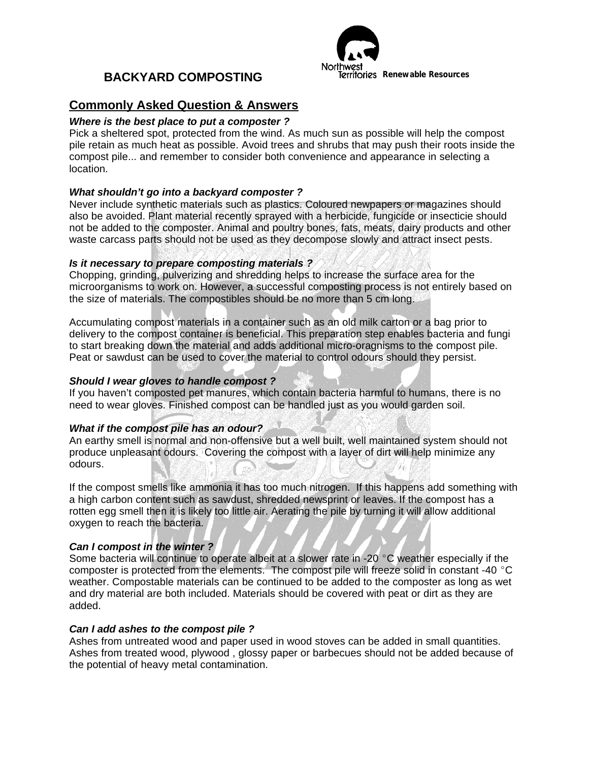# **BACKYARD COMPOSTING**



# **Commonly Asked Question & Answers**

## *Where is the best place to put a composter ?*

Pick a sheltered spot, protected from the wind. As much sun as possible will help the compost pile retain as much heat as possible. Avoid trees and shrubs that may push their roots inside the compost pile... and remember to consider both convenience and appearance in selecting a location.

### *What shouldn't go into a backyard composter ?*

Never include synthetic materials such as plastics. Coloured newpapers or magazines should also be avoided. Plant material recently sprayed with a herbicide, fungicide or insecticie should not be added to the composter. Animal and poultry bones, fats, meats, dairy products and other waste carcass parts should not be used as they decompose slowly and attract insect pests.

### *Is it necessary to prepare composting materials ?*

Chopping, grinding, pulverizing and shredding helps to increase the surface area for the microorganisms to work on. However, a successful composting process is not entirely based on the size of materials. The compostibles should be no more than 5 cm long.

Accumulating compost materials in a container such as an old milk carton or a bag prior to delivery to the compost container is beneficial. This preparation step enables bacteria and fungi to start breaking down the material and adds additional micro-oragnisms to the compost pile. Peat or sawdust can be used to cover the material to control odours should they persist.

### *Should I wear gloves to handle compost ?*

If you haven't composted pet manures, which contain bacteria harmful to humans, there is no need to wear gloves. Finished compost can be handled just as you would garden soil.

#### *What if the compost pile has an odour?*

An earthy smell is normal and non-offensive but a well built, well maintained system should not produce unpleasant odours. Covering the compost with a layer of dirt will help minimize any odours.

If the compost smells like ammonia it has too much nitrogen. If this happens add something with a high carbon content such as sawdust, shredded newsprint or leaves. If the compost has a rotten egg smell then it is likely too little air. Aerating the pile by turning it will allow additional oxygen to reach the bacteria.

## *Can I compost in the winter ?*

Some bacteria will continue to operate albeit at a slower rate in -20  $^{\circ}$ C weather especially if the composter is protected from the elements. The compost pile will freeze solid in constant -40  $^{\circ}$ C weather. Compostable materials can be continued to be added to the composter as long as wet and dry material are both included. Materials should be covered with peat or dirt as they are added.

#### *Can I add ashes to the compost pile ?*

Ashes from untreated wood and paper used in wood stoves can be added in small quantities. Ashes from treated wood, plywood , glossy paper or barbecues should not be added because of the potential of heavy metal contamination.